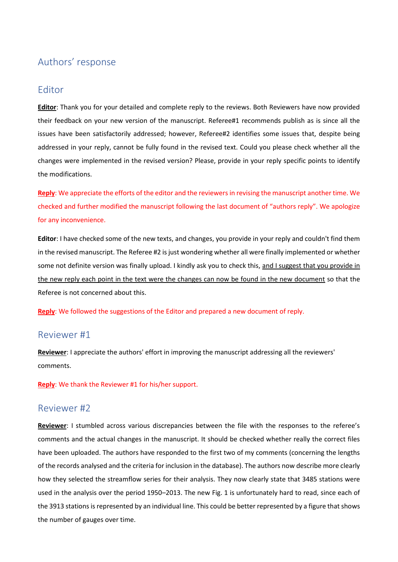# Authors' response

# Editor

**Editor**: Thank you for your detailed and complete reply to the reviews. Both Reviewers have now provided their feedback on your new version of the manuscript. Referee#1 recommends publish as is since all the issues have been satisfactorily addressed; however, Referee#2 identifies some issues that, despite being addressed in your reply, cannot be fully found in the revised text. Could you please check whether all the changes were implemented in the revised version? Please, provide in your reply specific points to identify the modifications.

**Reply**: We appreciate the efforts of the editor and the reviewers in revising the manuscript another time. We checked and further modified the manuscript following the last document of "authors reply". We apologize for any inconvenience.

**Editor**: I have checked some of the new texts, and changes, you provide in your reply and couldn't find them in the revised manuscript. The Referee #2 is just wondering whether all were finally implemented or whether some not definite version was finally upload. I kindly ask you to check this, and I suggest that you provide in the new reply each point in the text were the changes can now be found in the new document so that the Referee is not concerned about this.

**Reply**: We followed the suggestions of the Editor and prepared a new document of reply.

# Reviewer #1

**Reviewer**: I appreciate the authors' effort in improving the manuscript addressing all the reviewers' comments.

**Reply**: We thank the Reviewer #1 for his/her support.

### Reviewer #2

**Reviewer**: I stumbled across various discrepancies between the file with the responses to the referee's comments and the actual changes in the manuscript. It should be checked whether really the correct files have been uploaded. The authors have responded to the first two of my comments (concerning the lengths of the records analysed and the criteria for inclusion in the database). The authors now describe more clearly how they selected the streamflow series for their analysis. They now clearly state that 3485 stations were used in the analysis over the period 1950–2013. The new Fig. 1 is unfortunately hard to read, since each of the 3913 stations is represented by an individual line. This could be better represented by a figure that shows the number of gauges over time.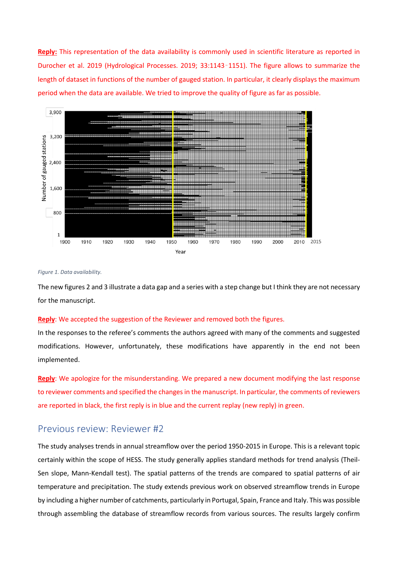**Reply:** This representation of the data availability is commonly used in scientific literature as reported in Durocher et al. 2019 (Hydrological Processes. 2019; 33:1143–1151). The figure allows to summarize the length of dataset in functions of the number of gauged station. In particular, it clearly displays the maximum period when the data are available. We tried to improve the quality of figure as far as possible.



#### *Figure 1. Data availability.*

The new figures 2 and 3 illustrate a data gap and a series with a step change but I think they are not necessary for the manuscript.

#### **Reply**: We accepted the suggestion of the Reviewer and removed both the figures.

In the responses to the referee's comments the authors agreed with many of the comments and suggested modifications. However, unfortunately, these modifications have apparently in the end not been implemented.

**Reply**: We apologize for the misunderstanding. We prepared a new document modifying the last response to reviewer comments and specified the changes in the manuscript. In particular, the comments of reviewers are reported in black, the first reply is in blue and the current replay (new reply) in green.

### Previous review: Reviewer #2

The study analyses trends in annual streamflow over the period 1950-2015 in Europe. This is a relevant topic certainly within the scope of HESS. The study generally applies standard methods for trend analysis (Theil-Sen slope, Mann-Kendall test). The spatial patterns of the trends are compared to spatial patterns of air temperature and precipitation. The study extends previous work on observed streamflow trends in Europe by including a higher number of catchments, particularly in Portugal, Spain, France and Italy. This was possible through assembling the database of streamflow records from various sources. The results largely confirm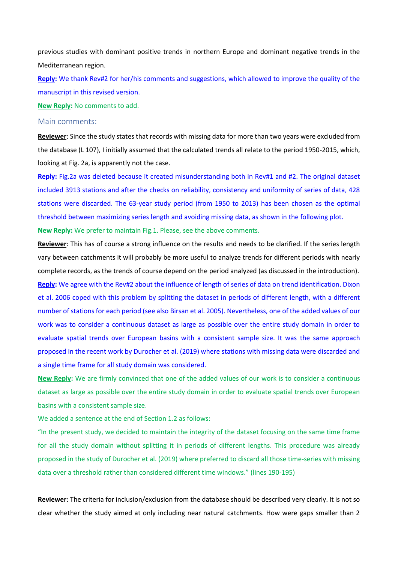previous studies with dominant positive trends in northern Europe and dominant negative trends in the Mediterranean region.

**Reply:** We thank Rev#2 for her/his comments and suggestions, which allowed to improve the quality of the manuscript in this revised version.

**New Reply:** No comments to add.

#### Main comments:

**Reviewer**: Since the study states that records with missing data for more than two years were excluded from the database (L 107), I initially assumed that the calculated trends all relate to the period 1950-2015, which, looking at Fig. 2a, is apparently not the case.

**Reply:** Fig.2a was deleted because it created misunderstanding both in Rev#1 and #2. The original dataset included 3913 stations and after the checks on reliability, consistency and uniformity of series of data, 428 stations were discarded. The 63-year study period (from 1950 to 2013) has been chosen as the optimal threshold between maximizing series length and avoiding missing data, as shown in the following plot.

**New Reply:** We prefer to maintain Fig.1. Please, see the above comments.

**Reviewer**: This has of course a strong influence on the results and needs to be clarified. If the series length vary between catchments it will probably be more useful to analyze trends for different periods with nearly complete records, as the trends of course depend on the period analyzed (as discussed in the introduction). **Reply:** We agree with the Rev#2 about the influence of length of series of data on trend identification. Dixon et al. 2006 coped with this problem by splitting the dataset in periods of different length, with a different number of stations for each period (see also Birsan et al. 2005). Nevertheless, one of the added values of our work was to consider a continuous dataset as large as possible over the entire study domain in order to evaluate spatial trends over European basins with a consistent sample size. It was the same approach proposed in the recent work by Durocher et al. (2019) where stations with missing data were discarded and a single time frame for all study domain was considered.

**New Reply:** We are firmly convinced that one of the added values of our work is to consider a continuous dataset as large as possible over the entire study domain in order to evaluate spatial trends over European basins with a consistent sample size.

We added a sentence at the end of Section 1.2 as follows:

"In the present study, we decided to maintain the integrity of the dataset focusing on the same time frame for all the study domain without splitting it in periods of different lengths. This procedure was already proposed in the study of Durocher et al. (2019) where preferred to discard all those time-series with missing data over a threshold rather than considered different time windows." (lines 190-195)

**Reviewer**: The criteria for inclusion/exclusion from the database should be described very clearly. It is not so clear whether the study aimed at only including near natural catchments. How were gaps smaller than 2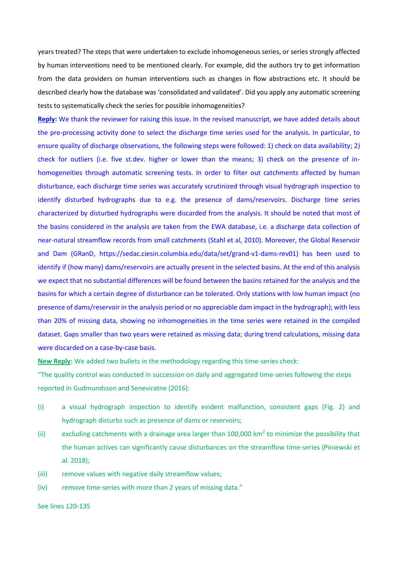years treated? The steps that were undertaken to exclude inhomogeneous series, or series strongly affected by human interventions need to be mentioned clearly. For example, did the authors try to get information from the data providers on human interventions such as changes in flow abstractions etc. It should be described clearly how the database was 'consolidated and validated'. Did you apply any automatic screening tests to systematically check the series for possible inhomogeneities?

**Reply:** We thank the reviewer for raising this issue. In the revised manuscript, we have added details about the pre-processing activity done to select the discharge time series used for the analysis. In particular, to ensure quality of discharge observations, the following steps were followed: 1) check on data availability; 2) check for outliers (i.e. five st.dev. higher or lower than the means; 3) check on the presence of inhomogeneities through automatic screening tests. In order to filter out catchments affected by human disturbance, each discharge time series was accurately scrutinized through visual hydrograph inspection to identify disturbed hydrographs due to e.g. the presence of dams/reservoirs. Discharge time series characterized by disturbed hydrographs were discarded from the analysis. It should be noted that most of the basins considered in the analysis are taken from the EWA database, i.e. a discharge data collection of near-natural streamflow records from small catchments (Stahl et al, 2010). Moreover, the Global Reservoir and Dam (GRanD, https://sedac.ciesin.columbia.edu/data/set/grand-v1-dams-rev01) has been used to identify if (how many) dams/reservoirs are actually present in the selected basins. At the end of this analysis we expect that no substantial differences will be found between the basins retained for the analysis and the basins for which a certain degree of disturbance can be tolerated. Only stations with low human impact (no presence of dams/reservoir in the analysis period or no appreciable dam impact in the hydrograph); with less than 20% of missing data, showing no inhomogeneities in the time series were retained in the compiled dataset. Gaps smaller than two years were retained as missing data; during trend calculations, missing data were discarded on a case-by-case basis.

**New Reply:** We added two bullets in the methodology regarding this time-series check:

"The quality control was conducted in succession on daily and aggregated time-series following the steps reported in Gudmundsson and Seneviratne (2016):

- (i) a visual hydrograph inspection to identify evident malfunction, consistent gaps (Fig. 2) and hydrograph disturbs such as presence of dams or reservoirs;
- (ii) excluding catchments with a drainage area larger than  $100,000$  km<sup>2</sup> to minimize the possibility that the human actives can significantly cause disturbances on the streamflow time-series (Piniewski et al. 2018);
- (iii) remove values with negative daily streamflow values;
- (iv) remove time-series with more than 2 years of missing data."

See lines 120-135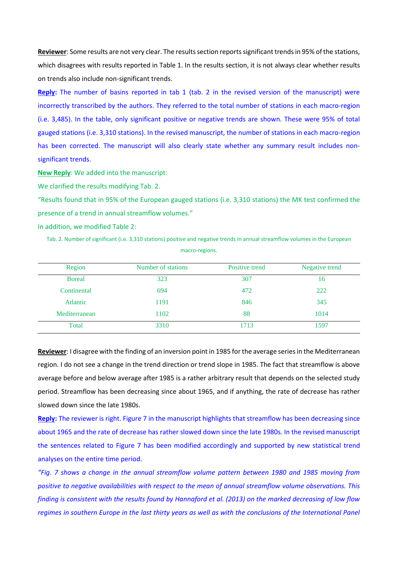**Reviewer**: Some results are not very clear. The results section reports significant trends in 95% of the stations, which disagrees with results reported in Table 1. In the results section, it is not always clear whether results on trends also include non-significant trends.

**Reply:** The number of basins reported in tab 1 (tab. 2 in the revised version of the manuscript) were incorrectly transcribed by the authors. They referred to the total number of stations in each macro-region (i.e. 3,485). In the table, only significant positive or negative trends are shown. These were 95% of total gauged stations (i.e. 3,310 stations). In the revised manuscript, the number of stations in each macro-region has been corrected. The manuscript will also clearly state whether any summary result includes nonsignificant trends.

**New Reply**: We added into the manuscript:

We clarified the results modifying Tab. 2.

"Results found that in 95% of the European gauged stations (i.e. 3,310 stations) the MK test confirmed the presence of a trend in annual streamflow volumes."

In addition, we modified Table 2:

Tab. 2. Number of significant (i.e. 3,310 stations) positive and negative trends in annual streamflow volumes in the European macro-regions.

| Region        | Number of stations | Positive trend | Negative trend |
|---------------|--------------------|----------------|----------------|
| <b>Boreal</b> | 323                | 307            | 16             |
| Continental   | 694                | 472            | 222            |
| Atlantic      | 1191               | 846            | 345            |
| Mediterranean | 1102               | 88             | 1014           |
| Total         | 3310               | 1713           | 1597           |

**Reviewer**: I disagree with the finding of an inversion point in 1985 for the average series in the Mediterranean region. I do not see a change in the trend direction or trend slope in 1985. The fact that streamflow is above average before and below average after 1985 is a rather arbitrary result that depends on the selected study period. Streamflow has been decreasing since about 1965, and if anything, the rate of decrease has rather slowed down since the late 1980s.

Reply: The reviewer is right. Figure 7 in the manuscript highlights that streamflow has been decreasing since about 1965 and the rate of decrease has rather slowed down since the late 1980s. In the revised manuscript the sentences related to Figure 7 has been modified accordingly and supported by new statistical trend analyses on the entire time period.

*"Fig. 7 shows a change in the annual streamflow volume pattern between 1980 and 1985 moving from positive to negative availabilities with respect to the mean of annual streamflow volume observations. This finding is consistent with the results found by Hannaford et al. (2013) on the marked decreasing of low flow regimes in southern Europe in the last thirty years as well as with the conclusions of the International Panel*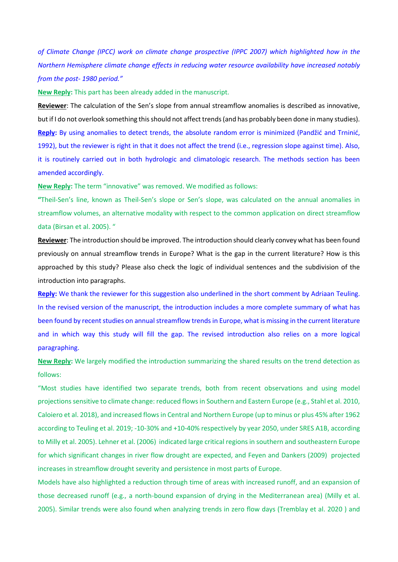*of Climate Change (IPCC) work on climate change prospective (IPPC 2007) which highlighted how in the Northern Hemisphere climate change effects in reducing water resource availability have increased notably from the post- 1980 period."*

**New Reply:** This part has been already added in the manuscript.

**Reviewer**: The calculation of the Sen's slope from annual streamflow anomalies is described as innovative, but if I do not overlook something this should not affect trends (and has probably been done in many studies). **Reply:** By using anomalies to detect trends, the absolute random error is minimized (Pandžić and Trninić, 1992), but the reviewer is right in that it does not affect the trend (i.e., regression slope against time). Also, it is routinely carried out in both hydrologic and climatologic research. The methods section has been amended accordingly.

**New Reply:** The term "innovative" was removed. We modified as follows:

**"**Theil-Sen's line, known as Theil-Sen's slope or Sen's slope, was calculated on the annual anomalies in streamflow volumes, an alternative modality with respect to the common application on direct streamflow data (Birsan et al. 2005). "

**Reviewer**: The introduction should be improved. The introduction should clearly convey what has been found previously on annual streamflow trends in Europe? What is the gap in the current literature? How is this approached by this study? Please also check the logic of individual sentences and the subdivision of the introduction into paragraphs.

**Reply:** We thank the reviewer for this suggestion also underlined in the short comment by Adriaan Teuling. In the revised version of the manuscript, the introduction includes a more complete summary of what has been found by recent studies on annual streamflow trends in Europe, what is missing in the current literature and in which way this study will fill the gap. The revised introduction also relies on a more logical paragraphing.

**New Reply:** We largely modified the introduction summarizing the shared results on the trend detection as follows:

"Most studies have identified two separate trends, both from recent observations and using model projections sensitive to climate change: reduced flows in Southern and Eastern Europe (e.g., Stahl et al. 2010, Caloiero et al. 2018), and increased flows in Central and Northern Europe (up to minus or plus 45% after 1962 according to Teuling et al. 2019; -10-30% and +10-40% respectively by year 2050, under SRES A1B, according to Milly et al. 2005). Lehner et al. (2006) indicated large critical regions in southern and southeastern Europe for which significant changes in river flow drought are expected, and Feyen and Dankers (2009) projected increases in streamflow drought severity and persistence in most parts of Europe.

Models have also highlighted a reduction through time of areas with increased runoff, and an expansion of those decreased runoff (e.g., a north-bound expansion of drying in the Mediterranean area) (Milly et al. 2005). Similar trends were also found when analyzing trends in zero flow days (Tremblay et al. 2020 ) and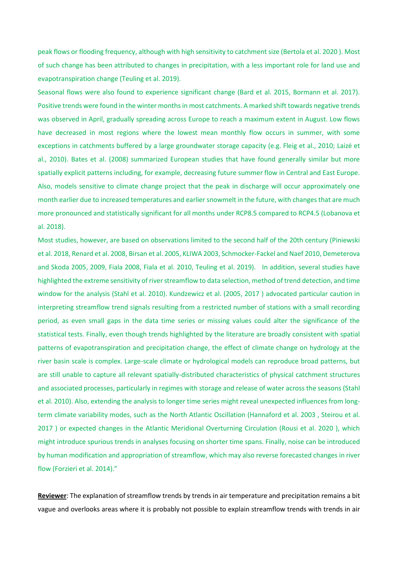peak flows or flooding frequency, although with high sensitivity to catchment size (Bertola et al. 2020 ). Most of such change has been attributed to changes in precipitation, with a less important role for land use and evapotranspiration change (Teuling et al. 2019).

Seasonal flows were also found to experience significant change (Bard et al. 2015, Bormann et al. 2017). Positive trends were found in the winter months in most catchments. A marked shift towards negative trends was observed in April, gradually spreading across Europe to reach a maximum extent in August. Low flows have decreased in most regions where the lowest mean monthly flow occurs in summer, with some exceptions in catchments buffered by a large groundwater storage capacity (e.g. Fleig et al., 2010; Laizé et al., 2010). Bates et al. (2008) summarized European studies that have found generally similar but more spatially explicit patterns including, for example, decreasing future summer flow in Central and East Europe. Also, models sensitive to climate change project that the peak in discharge will occur approximately one month earlier due to increased temperatures and earlier snowmelt in the future, with changes that are much more pronounced and statistically significant for all months under RCP8.5 compared to RCP4.5 (Lobanova et al. 2018).

Most studies, however, are based on observations limited to the second half of the 20th century (Piniewski et al. 2018, Renard et al. 2008, Birsan et al. 2005, KLIWA 2003, Schmocker-Fackel and Naef 2010, Demeterova and Skoda 2005, 2009, Fiala 2008, Fiala et al. 2010, Teuling et al. 2019). In addition, several studies have highlighted the extreme sensitivity of river streamflow to data selection, method of trend detection, and time window for the analysis (Stahl et al. 2010). Kundzewicz et al. (2005, 2017 ) advocated particular caution in interpreting streamflow trend signals resulting from a restricted number of stations with a small recording period, as even small gaps in the data time series or missing values could alter the significance of the statistical tests. Finally, even though trends highlighted by the literature are broadly consistent with spatial patterns of evapotranspiration and precipitation change, the effect of climate change on hydrology at the river basin scale is complex. Large-scale climate or hydrological models can reproduce broad patterns, but are still unable to capture all relevant spatially-distributed characteristics of physical catchment structures and associated processes, particularly in regimes with storage and release of water across the seasons (Stahl et al. 2010). Also, extending the analysis to longer time series might reveal unexpected influences from longterm climate variability modes, such as the North Atlantic Oscillation (Hannaford et al. 2003 , Steirou et al. 2017 ) or expected changes in the Atlantic Meridional Overturning Circulation (Rousi et al. 2020 ), which might introduce spurious trends in analyses focusing on shorter time spans. Finally, noise can be introduced by human modification and appropriation of streamflow, which may also reverse forecasted changes in river flow (Forzieri et al. 2014)."

**Reviewer**: The explanation of streamflow trends by trends in air temperature and precipitation remains a bit vague and overlooks areas where it is probably not possible to explain streamflow trends with trends in air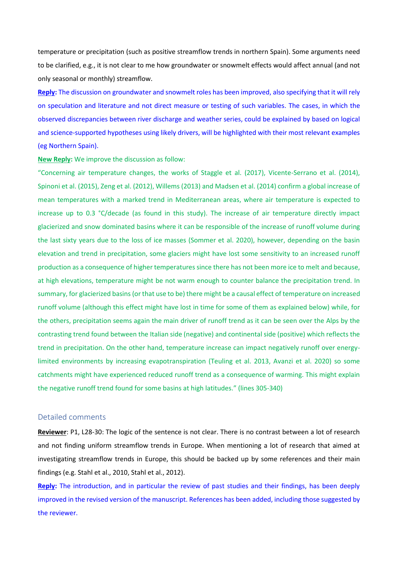temperature or precipitation (such as positive streamflow trends in northern Spain). Some arguments need to be clarified, e.g., it is not clear to me how groundwater or snowmelt effects would affect annual (and not only seasonal or monthly) streamflow.

**Reply:** The discussion on groundwater and snowmelt roles has been improved, also specifying that it will rely on speculation and literature and not direct measure or testing of such variables. The cases, in which the observed discrepancies between river discharge and weather series, could be explained by based on logical and science-supported hypotheses using likely drivers, will be highlighted with their most relevant examples (eg Northern Spain).

### **New Reply:** We improve the discussion as follow:

"Concerning air temperature changes, the works of Staggle et al. (2017), Vicente-Serrano et al. (2014), Spinoni et al. (2015), Zeng et al. (2012), Willems (2013) and Madsen et al. (2014) confirm a global increase of mean temperatures with a marked trend in Mediterranean areas, where air temperature is expected to increase up to 0.3 °C/decade (as found in this study). The increase of air temperature directly impact glacierized and snow dominated basins where it can be responsible of the increase of runoff volume during the last sixty years due to the loss of ice masses (Sommer et al. 2020), however, depending on the basin elevation and trend in precipitation, some glaciers might have lost some sensitivity to an increased runoff production as a consequence of higher temperatures since there has not been more ice to melt and because, at high elevations, temperature might be not warm enough to counter balance the precipitation trend. In summary, for glacierized basins (or that use to be) there might be a causal effect of temperature on increased runoff volume (although this effect might have lost in time for some of them as explained below) while, for the others, precipitation seems again the main driver of runoff trend as it can be seen over the Alps by the contrasting trend found between the Italian side (negative) and continental side (positive) which reflects the trend in precipitation. On the other hand, temperature increase can impact negatively runoff over energylimited environments by increasing evapotranspiration (Teuling et al. 2013, Avanzi et al. 2020) so some catchments might have experienced reduced runoff trend as a consequence of warming. This might explain the negative runoff trend found for some basins at high latitudes." (lines 305-340)

### Detailed comments

**Reviewer**: P1, L28-30: The logic of the sentence is not clear. There is no contrast between a lot of research and not finding uniform streamflow trends in Europe. When mentioning a lot of research that aimed at investigating streamflow trends in Europe, this should be backed up by some references and their main findings (e.g. Stahl et al., 2010, Stahl et al., 2012).

**Reply:** The introduction, and in particular the review of past studies and their findings, has been deeply improved in the revised version of the manuscript. References has been added, including those suggested by the reviewer.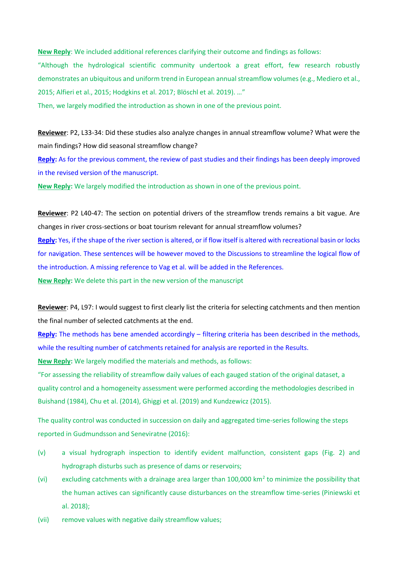**New Reply**: We included additional references clarifying their outcome and findings as follows:

"Although the hydrological scientific community undertook a great effort, few research robustly demonstrates an ubiquitous and uniform trend in European annual streamflow volumes (e.g., Mediero et al., 2015; Alfieri et al., 2015; Hodgkins et al. 2017; Blöschl et al. 2019). …"

Then, we largely modified the introduction as shown in one of the previous point.

**Reviewer**: P2, L33-34: Did these studies also analyze changes in annual streamflow volume? What were the main findings? How did seasonal streamflow change?

**Reply:** As for the previous comment, the review of past studies and their findings has been deeply improved in the revised version of the manuscript.

**New Reply:** We largely modified the introduction as shown in one of the previous point.

**Reviewer**: P2 L40-47: The section on potential drivers of the streamflow trends remains a bit vague. Are changes in river cross-sections or boat tourism relevant for annual streamflow volumes? **Reply:** Yes, if the shape of the river section is altered, or if flow itself is altered with recreational basin or locks for navigation. These sentences will be however moved to the Discussions to streamline the logical flow of the introduction. A missing reference to Vag et al. will be added in the References. **New Reply:** We delete this part in the new version of the manuscript

**Reviewer**: P4, L97: I would suggest to first clearly list the criteria for selecting catchments and then mention the final number of selected catchments at the end.

**Reply:** The methods has bene amended accordingly – filtering criteria has been described in the methods, while the resulting number of catchments retained for analysis are reported in the Results.

**New Reply:** We largely modified the materials and methods, as follows:

"For assessing the reliability of streamflow daily values of each gauged station of the original dataset, a quality control and a homogeneity assessment were performed according the methodologies described in Buishand (1984), Chu et al. (2014), Ghiggi et al. (2019) and Kundzewicz (2015).

The quality control was conducted in succession on daily and aggregated time-series following the steps reported in Gudmundsson and Seneviratne (2016):

- (v) a visual hydrograph inspection to identify evident malfunction, consistent gaps (Fig. 2) and hydrograph disturbs such as presence of dams or reservoirs;
- (vi) excluding catchments with a drainage area larger than  $100,000$  km<sup>2</sup> to minimize the possibility that the human actives can significantly cause disturbances on the streamflow time-series (Piniewski et al. 2018);
- (vii) remove values with negative daily streamflow values;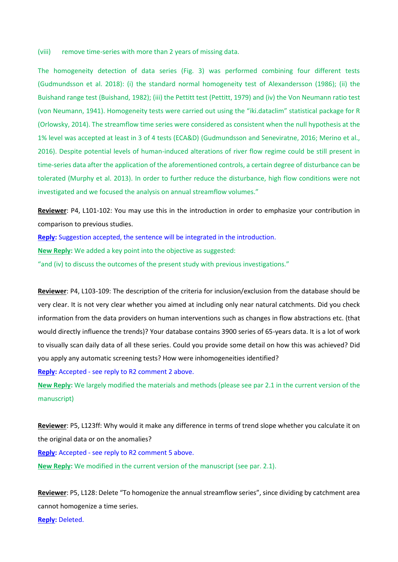(viii) remove time-series with more than 2 years of missing data.

The homogeneity detection of data series (Fig. 3) was performed combining four different tests (Gudmundsson et al. 2018): (i) the standard normal homogeneity test of Alexandersson (1986); (ii) the Buishand range test (Buishand, 1982); (iii) the Pettitt test (Pettitt, 1979) and (iv) the Von Neumann ratio test (von Neumann, 1941). Homogeneity tests were carried out using the "iki.dataclim" statistical package for R (Orlowsky, 2014). The streamflow time series were considered as consistent when the null hypothesis at the 1% level was accepted at least in 3 of 4 tests (ECA&D) (Gudmundsson and Seneviratne, 2016; Merino et al., 2016). Despite potential levels of human-induced alterations of river flow regime could be still present in time-series data after the application of the aforementioned controls, a certain degree of disturbance can be tolerated (Murphy et al. 2013). In order to further reduce the disturbance, high flow conditions were not investigated and we focused the analysis on annual streamflow volumes."

**Reviewer**: P4, L101-102: You may use this in the introduction in order to emphasize your contribution in comparison to previous studies.

**Reply:** Suggestion accepted, the sentence will be integrated in the introduction.

**New Reply:** We added a key point into the objective as suggested:

"and (iv) to discuss the outcomes of the present study with previous investigations."

**Reviewer**: P4, L103-109: The description of the criteria for inclusion/exclusion from the database should be very clear. It is not very clear whether you aimed at including only near natural catchments. Did you check information from the data providers on human interventions such as changes in flow abstractions etc. (that would directly influence the trends)? Your database contains 3900 series of 65-years data. It is a lot of work to visually scan daily data of all these series. Could you provide some detail on how this was achieved? Did you apply any automatic screening tests? How were inhomogeneities identified?

**Reply:** Accepted - see reply to R2 comment 2 above.

**New Reply:** We largely modified the materials and methods (please see par 2.1 in the current version of the manuscript)

**Reviewer**: P5, L123ff: Why would it make any difference in terms of trend slope whether you calculate it on the original data or on the anomalies?

**Reply:** Accepted - see reply to R2 comment 5 above.

**New Reply:** We modified in the current version of the manuscript (see par. 2.1).

**Reviewer**: P5, L128: Delete "To homogenize the annual streamflow series", since dividing by catchment area cannot homogenize a time series. **Reply:** Deleted.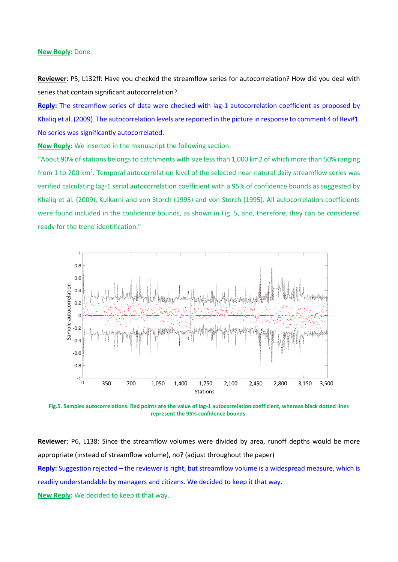#### **New Reply:** Done.

**Reviewer**: P5, L132ff: Have you checked the streamflow series for autocorrelation? How did you deal with series that contain significant autocorrelation?

Reply: The streamflow series of data were checked with lag-1 autocorrelation coefficient as proposed by Khaliq et al. (2009). The autocorrelation levels are reported in the picture in response to comment 4 of Rev#1. No series was significantly autocorrelated.

**New Reply:** We inserted in the manuscript the following section:

"About 90% of stations belongs to catchments with size less than 1,000 km2 of which more than 50% ranging from 1 to 200 km<sup>2</sup>. Temporal autocorrelation level of the selected near-natural daily streamflow series was verified calculating lag-1 serial autocorrelation coefficient with a 95% of confidence bounds as suggested by Khaliq et al. (2009), Kulkarni and von Storch (1995) and von Storch (1995). All autocorrelation coefficients were found included in the confidence bounds, as shown in Fig. 5, and, therefore, they can be considered ready for the trend identification."



**Fig.5. Samples autocorrelations. Red points are the value of lag-1 autocorrelation coefficient, whereas black dotted lines represent the 95% confidence bounds.**

**Reviewer**: P6, L138: Since the streamflow volumes were divided by area, runoff depths would be more appropriate (instead of streamflow volume), no? (adjust throughout the paper) **Reply:** Suggestion rejected – the reviewer is right, but streamflow volume is a widespread measure, which is readily understandable by managers and citizens. We decided to keep it that way. **New Reply:** We decided to keep it that way.